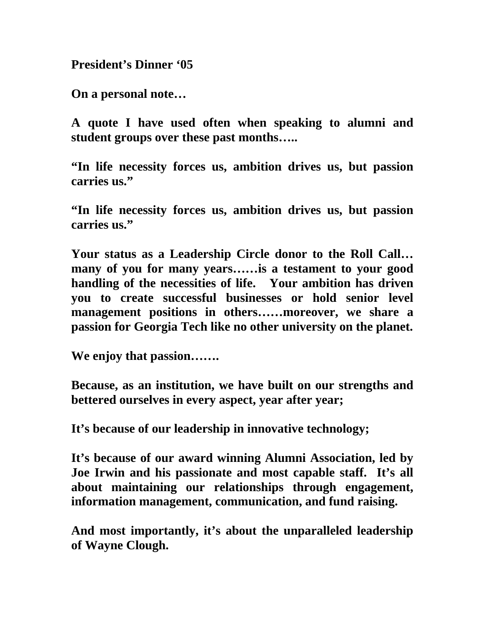**President's Dinner '05** 

**On a personal note…** 

**A quote I have used often when speaking to alumni and student groups over these past months…..** 

**"In life necessity forces us, ambition drives us, but passion carries us."** 

**"In life necessity forces us, ambition drives us, but passion carries us."** 

**Your status as a Leadership Circle donor to the Roll Call… many of you for many years……is a testament to your good handling of the necessities of life. Your ambition has driven you to create successful businesses or hold senior level management positions in others……moreover, we share a passion for Georgia Tech like no other university on the planet.** 

**We enjoy that passion…….** 

**Because, as an institution, we have built on our strengths and bettered ourselves in every aspect, year after year;** 

**It's because of our leadership in innovative technology;** 

**It's because of our award winning Alumni Association, led by Joe Irwin and his passionate and most capable staff. It's all about maintaining our relationships through engagement, information management, communication, and fund raising.** 

**And most importantly, it's about the unparalleled leadership of Wayne Clough.**